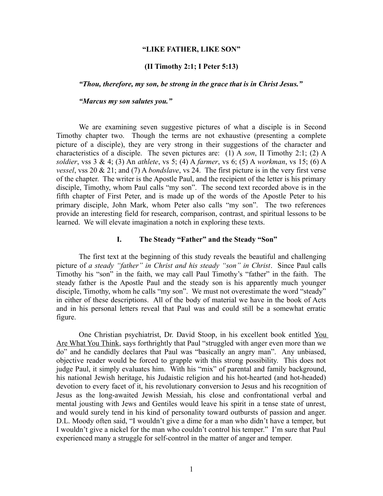## **"LIKE FATHER, LIKE SON"**

## **(II Timothy 2:1; I Peter 5:13)**

*"Thou, therefore, my son, be strong in the grace that is in Christ Jesus."*

*"Marcus my son salutes you."*

We are examining seven suggestive pictures of what a disciple is in Second Timothy chapter two. Though the terms are not exhaustive (presenting a complete picture of a disciple), they are very strong in their suggestions of the character and characteristics of a disciple. The seven pictures are: (1) A *son*, II Timothy 2:1; (2) A *soldier*, vss 3 & 4; (3) An *athlete*, vs 5; (4) A *farmer*, vs 6; (5) A *workman*, vs 15; (6) A *vessel*, vss 20 & 21; and (7) A *bondslave*, vs 24. The first picture is in the very first verse of the chapter. The writer is the Apostle Paul, and the recipient of the letter is his primary disciple, Timothy, whom Paul calls "my son". The second text recorded above is in the fifth chapter of First Peter, and is made up of the words of the Apostle Peter to his primary disciple, John Mark, whom Peter also calls "my son". The two references provide an interesting field for research, comparison, contrast, and spiritual lessons to be learned. We will elevate imagination a notch in exploring these texts.

## **I. The Steady "Father" and the Steady "Son"**

The first text at the beginning of this study reveals the beautiful and challenging picture of *a steady "father" in Christ and his steady "son" in Christ*. Since Paul calls Timothy his "son" in the faith, we may call Paul Timothy's "father" in the faith. The steady father is the Apostle Paul and the steady son is his apparently much younger disciple, Timothy, whom he calls "my son". We must not overestimate the word "steady" in either of these descriptions. All of the body of material we have in the book of Acts and in his personal letters reveal that Paul was and could still be a somewhat erratic figure.

One Christian psychiatrist, Dr. David Stoop, in his excellent book entitled You Are What You Think, says forthrightly that Paul "struggled with anger even more than we do" and he candidly declares that Paul was "basically an angry man". Any unbiased, objective reader would be forced to grapple with this strong possibility. This does not judge Paul, it simply evaluates him. With his "mix" of parental and family background, his national Jewish heritage, his Judaistic religion and his hot-hearted (and hot-headed) devotion to every facet of it, his revolutionary conversion to Jesus and his recognition of Jesus as the long-awaited Jewish Messiah, his close and confrontational verbal and mental jousting with Jews and Gentiles would leave his spirit in a tense state of unrest, and would surely tend in his kind of personality toward outbursts of passion and anger. D.L. Moody often said, "I wouldn't give a dime for a man who didn't have a temper, but I wouldn't give a nickel for the man who couldn't control his temper." I'm sure that Paul experienced many a struggle for self-control in the matter of anger and temper.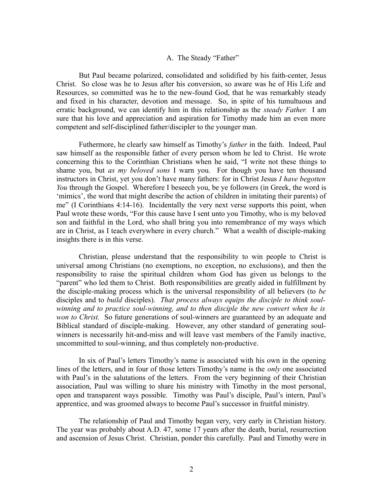# A. The Steady "Father"

But Paul became polarized, consolidated and solidified by his faith-center, Jesus Christ. So close was he to Jesus after his conversion, so aware was he of His Life and Resources, so committed was he to the new-found God, that he was remarkably steady and fixed in his character, devotion and message. So, in spite of his tumultuous and erratic background, we can identify him in this relationship as the *steady Father.* I am sure that his love and appreciation and aspiration for Timothy made him an even more competent and self-disciplined father/discipler to the younger man.

Futhermore, he clearly saw himself as Timothy's *father* in the faith. Indeed, Paul saw himself as the responsible father of every person whom he led to Christ. He wrote concerning this to the Corinthian Christians when he said, "I write not these things to shame you, but *as my beloved sons* I warn you. For though you have ten thousand instructors in Christ, yet you don't have many fathers: for in Christ Jesus *I have begotten You* through the Gospel. Wherefore I beseech you, be ye followers (in Greek, the word is 'mimics', the word that might describe the action of children in imitating their parents) of me" (I Corinthians 4:14-16). Incidentally the very next verse supports this point, when Paul wrote these words, "For this cause have I sent unto you Timothy, who is my beloved son and faithful in the Lord, who shall bring you into remembrance of my ways which are in Christ, as I teach everywhere in every church." What a wealth of disciple-making insights there is in this verse.

Christian, please understand that the responsibility to win people to Christ is universal among Christians (no exemptions, no exception, no exclusions), and then the responsibility to raise the spiritual children whom God has given us belongs to the "parent" who led them to Christ. Both responsibilities are greatly aided in fulfillment by the disciple-making process which is the universal responsibility of all believers (to *be* disciples and to *build* disciples). *That process always equips the disciple to think soulwinning and to practice soul-winning, and to then disciple the new convert when he is won to Christ.* So future generations of soul-winners are guaranteed by an adequate and Biblical standard of disciple-making. However, any other standard of generating soulwinners is necessarily hit-and-miss and will leave vast members of the Family inactive, uncommitted to soul-winning, and thus completely non-productive.

In six of Paul's letters Timothy's name is associated with his own in the opening lines of the letters, and in four of those letters Timothy's name is the *only* one associated with Paul's in the salutations of the letters. From the very beginning of their Christian association, Paul was willing to share his ministry with Timothy in the most personal, open and transparent ways possible. Timothy was Paul's disciple, Paul's intern, Paul's apprentice, and was groomed always to become Paul's successor in fruitful ministry.

The relationship of Paul and Timothy began very, very early in Christian history. The year was probably about A.D. 47, some 17 years after the death, burial, resurrection and ascension of Jesus Christ. Christian, ponder this carefully. Paul and Timothy were in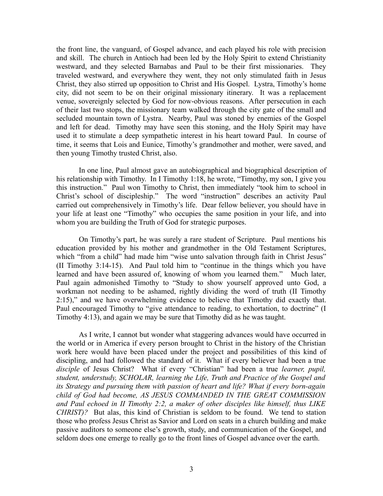the front line, the vanguard, of Gospel advance, and each played his role with precision and skill. The church in Antioch had been led by the Holy Spirit to extend Christianity westward, and they selected Barnabas and Paul to be their first missionaries. They traveled westward, and everywhere they went, they not only stimulated faith in Jesus Christ, they also stirred up opposition to Christ and His Gospel. Lystra, Timothy's home city, did not seem to be on their original missionary itinerary. It was a replacement venue, sovereignly selected by God for now-obvious reasons. After persecution in each of their last two stops, the missionary team walked through the city gate of the small and secluded mountain town of Lystra. Nearby, Paul was stoned by enemies of the Gospel and left for dead. Timothy may have seen this stoning, and the Holy Spirit may have used it to stimulate a deep sympathetic interest in his heart toward Paul. In course of time, it seems that Lois and Eunice, Timothy's grandmother and mother, were saved, and then young Timothy trusted Christ, also.

In one line, Paul almost gave an autobiographical and biographical description of his relationship with Timothy. In I Timothy 1:18, he wrote, "Timothy, my son, I give you this instruction." Paul won Timothy to Christ, then immediately "took him to school in Christ's school of discipleship." The word "instruction" describes an activity Paul carried out comprehensively in Timothy's life. Dear fellow believer, you should have in your life at least one "Timothy" who occupies the same position in your life, and into whom you are building the Truth of God for strategic purposes.

On Timothy's part, he was surely a rare student of Scripture. Paul mentions his education provided by his mother and grandmother in the Old Testament Scriptures, which "from a child" had made him "wise unto salvation through faith in Christ Jesus" (II Timothy 3:14-15). And Paul told him to "continue in the things which you have learned and have been assured of, knowing of whom you learned them." Much later, Paul again admonished Timothy to "Study to show yourself approved unto God, a workman not needing to be ashamed, rightly dividing the word of truth (II Timothy 2:15)," and we have overwhelming evidence to believe that Timothy did exactly that. Paul encouraged Timothy to "give attendance to reading, to exhortation, to doctrine" (I Timothy 4:13), and again we may be sure that Timothy did as he was taught.

As I write, I cannot but wonder what staggering advances would have occurred in the world or in America if every person brought to Christ in the history of the Christian work here would have been placed under the project and possibilities of this kind of discipling, and had followed the standard of it. What if every believer had been a true *disciple* of Jesus Christ? What if every "Christian" had been a true *learner, pupil, student, understudy, SCHOLAR, learning the Life, Truth and Practice of the Gospel and its Strategy and pursuing them with passion of heart and life? What if every born-again child of God had become, AS JESUS COMMANDED IN THE GREAT COMMISSION and Paul echoed in II Timothy 2:2, a maker of other disciples like himself, thus LIKE CHRIST)?* But alas, this kind of Christian is seldom to be found. We tend to station those who profess Jesus Christ as Savior and Lord on seats in a church building and make passive auditors to someone else's growth, study, and communication of the Gospel, and seldom does one emerge to really go to the front lines of Gospel advance over the earth.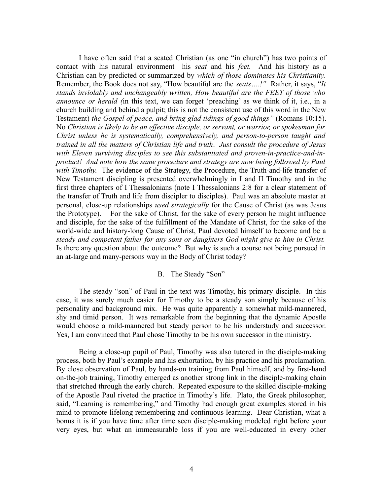I have often said that a seated Christian (as one "in church") has two points of contact with his natural environment—his *seat* and his *feet.* And his history as a Christian can by predicted or summarized by *which of those dominates his Christianity.* Remember, the Book does not say, "How beautiful are the *seats….!"* Rather, it says, "*It stands inviolably and unchangeably written, How beautiful are the FEET of those who announce or herald (*in this text, we can forget 'preaching' as we think of it, i.e., in a church building and behind a pulpit; this is not the consistent use of this word in the New Testament) *the Gospel of peace, and bring glad tidings of good things"* (Romans 10:15). No *Christian is likely to be an effective disciple, or servant, or warrior, or spokesman for Christ unless he is systematically, comprehensively, and person-to-person taught and trained in all the matters of Christian life and truth*. *Just consult the procedure of Jesus with Eleven surviving disciples to see this substantiated and proven-in-practice-and-inproduct! And note how the same procedure and strategy are now being followed by Paul with Timothy.* The evidence of the Strategy, the Procedure, the Truth-and-life transfer of New Testament discipling is presented overwhelmingly in I and II Timothy and in the first three chapters of I Thessalonians (note I Thessalonians 2:8 for a clear statement of the transfer of Truth and life from discipler to disciples). Paul was an absolute master at personal, close-up relationships *used strategically* for the Cause of Christ (as was Jesus the Prototype). For the sake of Christ, for the sake of every person he might influence and disciple, for the sake of the fulfillment of the Mandate of Christ, for the sake of the world-wide and history-long Cause of Christ, Paul devoted himself to become and be a *steady and competent father for any sons or daughters God might give to him in Christ.* Is there any question about the outcome? But why is such a course not being pursued in an at-large and many-persons way in the Body of Christ today?

### B. The Steady "Son"

The steady "son" of Paul in the text was Timothy, his primary disciple. In this case, it was surely much easier for Timothy to be a steady son simply because of his personality and background mix. He was quite apparently a somewhat mild-mannered, shy and timid person. It was remarkable from the beginning that the dynamic Apostle would choose a mild-mannered but steady person to be his understudy and successor. Yes, I am convinced that Paul chose Timothy to be his own successor in the ministry.

Being a close-up pupil of Paul, Timothy was also tutored in the disciple-making process, both by Paul's example and his exhortation, by his practice and his proclamation. By close observation of Paul, by hands-on training from Paul himself, and by first-hand on-the-job training, Timothy emerged as another strong link in the disciple-making chain that stretched through the early church. Repeated exposure to the skilled disciple-making of the Apostle Paul riveted the practice in Timothy's life. Plato, the Greek philosopher, said, "Learning is remembering," and Timothy had enough great examples stored in his mind to promote lifelong remembering and continuous learning. Dear Christian, what a bonus it is if you have time after time seen disciple-making modeled right before your very eyes, but what an immeasurable loss if you are well-educated in every other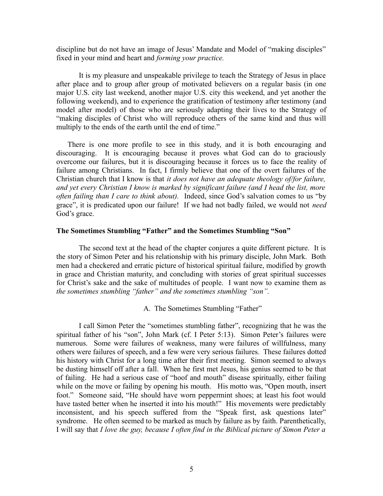discipline but do not have an image of Jesus' Mandate and Model of "making disciples" fixed in your mind and heart and *forming your practice.* 

It is my pleasure and unspeakable privilege to teach the Strategy of Jesus in place after place and to group after group of motivated believers on a regular basis (in one major U.S. city last weekend, another major U.S. city this weekend, and yet another the following weekend), and to experience the gratification of testimony after testimony (and model after model) of those who are seriously adapting their lives to the Strategy of "making disciples of Christ who will reproduce others of the same kind and thus will multiply to the ends of the earth until the end of time."

There is one more profile to see in this study, and it is both encouraging and discouraging. It is encouraging because it proves what God can do to graciously overcome our failures, but it is discouraging because it forces us to face the reality of failure among Christians. In fact, I firmly believe that one of the overt failures of the Christian church that I know is that *it does not have an adequate theology of/for failure, and yet every Christian I know is marked by significant failure (and I head the list, more often failing than I care to think about).* Indeed, since God's salvation comes to us "by grace", it is predicated upon our failure! If we had not badly failed, we would not *need* God's grace.

## **The Sometimes Stumbling "Father" and the Sometimes Stumbling "Son"**

The second text at the head of the chapter conjures a quite different picture. It is the story of Simon Peter and his relationship with his primary disciple, John Mark. Both men had a checkered and erratic picture of historical spiritual failure, modified by growth in grace and Christian maturity, and concluding with stories of great spiritual successes for Christ's sake and the sake of multitudes of people. I want now to examine them as *the sometimes stumbling "father" and the sometimes stumbling "son".*

A. The Sometimes Stumbling "Father"

I call Simon Peter the "sometimes stumbling father", recognizing that he was the spiritual father of his "son", John Mark (cf. I Peter 5:13). Simon Peter's failures were numerous. Some were failures of weakness, many were failures of willfulness, many others were failures of speech, and a few were very serious failures. These failures dotted his history with Christ for a long time after their first meeting. Simon seemed to always be dusting himself off after a fall. When he first met Jesus, his genius seemed to be that of failing. He had a serious case of "hoof and mouth" disease spiritually, either failing while on the move or failing by opening his mouth. His motto was, "Open mouth, insert foot." Someone said, "He should have worn peppermint shoes; at least his foot would have tasted better when he inserted it into his mouth!" His movements were predictably inconsistent, and his speech suffered from the "Speak first, ask questions later" syndrome. He often seemed to be marked as much by failure as by faith. Parenthetically, I will say that *I love the guy, because I often find in the Biblical picture of Simon Peter a*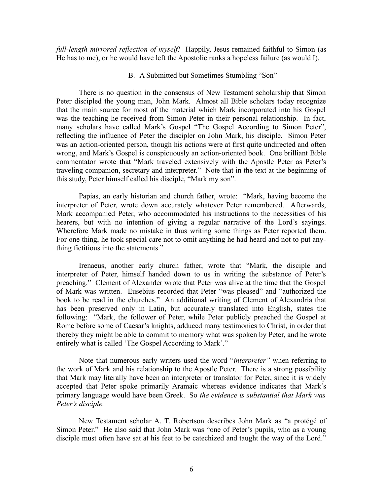*full-length mirrored reflection of myself!* Happily, Jesus remained faithful to Simon (as He has to me), or he would have left the Apostolic ranks a hopeless failure (as would I).

#### B. A Submitted but Sometimes Stumbling "Son"

There is no question in the consensus of New Testament scholarship that Simon Peter discipled the young man, John Mark. Almost all Bible scholars today recognize that the main source for most of the material which Mark incorporated into his Gospel was the teaching he received from Simon Peter in their personal relationship. In fact, many scholars have called Mark's Gospel "The Gospel According to Simon Peter", reflecting the influence of Peter the discipler on John Mark, his disciple. Simon Peter was an action-oriented person, though his actions were at first quite undirected and often wrong, and Mark's Gospel is conspicuously an action-oriented book. One brilliant Bible commentator wrote that "Mark traveled extensively with the Apostle Peter as Peter's traveling companion, secretary and interpreter." Note that in the text at the beginning of this study, Peter himself called his disciple, "Mark my son".

Papias, an early historian and church father, wrote: "Mark, having become the interpreter of Peter, wrote down accurately whatever Peter remembered. Afterwards, Mark accompanied Peter, who accommodated his instructions to the necessities of his hearers, but with no intention of giving a regular narrative of the Lord's sayings. Wherefore Mark made no mistake in thus writing some things as Peter reported them. For one thing, he took special care not to omit anything he had heard and not to put anything fictitious into the statements."

Irenaeus, another early church father, wrote that "Mark, the disciple and interpreter of Peter, himself handed down to us in writing the substance of Peter's preaching." Clement of Alexander wrote that Peter was alive at the time that the Gospel of Mark was written. Eusebius recorded that Peter "was pleased" and "authorized the book to be read in the churches." An additional writing of Clement of Alexandria that has been preserved only in Latin, but accurately translated into English, states the following: "Mark, the follower of Peter, while Peter publicly preached the Gospel at Rome before some of Caesar's knights, adduced many testimonies to Christ, in order that thereby they might be able to commit to memory what was spoken by Peter, and he wrote entirely what is called 'The Gospel According to Mark'."

Note that numerous early writers used the word "*interpreter"* when referring to the work of Mark and his relationship to the Apostle Peter. There is a strong possibility that Mark may literally have been an interpreter or translator for Peter, since it is widely accepted that Peter spoke primarily Aramaic whereas evidence indicates that Mark's primary language would have been Greek. So *the evidence is substantial that Mark was Peter's disciple.*

New Testament scholar A. T. Robertson describes John Mark as "a protégé of Simon Peter." He also said that John Mark was "one of Peter's pupils, who as a young disciple must often have sat at his feet to be catechized and taught the way of the Lord."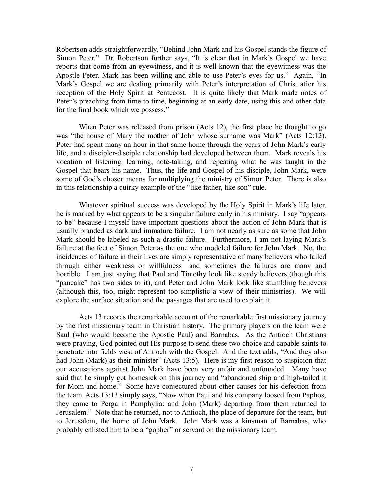Robertson adds straightforwardly, "Behind John Mark and his Gospel stands the figure of Simon Peter." Dr. Robertson further says, "It is clear that in Mark's Gospel we have reports that come from an eyewitness, and it is well-known that the eyewitness was the Apostle Peter. Mark has been willing and able to use Peter's eyes for us." Again, "In Mark's Gospel we are dealing primarily with Peter's interpretation of Christ after his reception of the Holy Spirit at Pentecost. It is quite likely that Mark made notes of Peter's preaching from time to time, beginning at an early date, using this and other data for the final book which we possess."

When Peter was released from prison (Acts 12), the first place he thought to go was "the house of Mary the mother of John whose surname was Mark" (Acts 12:12). Peter had spent many an hour in that same home through the years of John Mark's early life, and a discipler-disciple relationship had developed between them. Mark reveals his vocation of listening, learning, note-taking, and repeating what he was taught in the Gospel that bears his name. Thus, the life and Gospel of his disciple, John Mark, were some of God's chosen means for multiplying the ministry of Simon Peter. There is also in this relationship a quirky example of the "like father, like son" rule.

Whatever spiritual success was developed by the Holy Spirit in Mark's life later, he is marked by what appears to be a singular failure early in his ministry. I say "appears to be" because I myself have important questions about the action of John Mark that is usually branded as dark and immature failure. I am not nearly as sure as some that John Mark should be labeled as such a drastic failure. Furthermore, I am not laying Mark's failure at the feet of Simon Peter as the one who modeled failure for John Mark. No, the incidences of failure in their lives are simply representative of many believers who failed through either weakness or willfulness—and sometimes the failures are many and horrible. I am just saying that Paul and Timothy look like steady believers (though this "pancake" has two sides to it), and Peter and John Mark look like stumbling believers (although this, too, might represent too simplistic a view of their ministries). We will explore the surface situation and the passages that are used to explain it.

Acts 13 records the remarkable account of the remarkable first missionary journey by the first missionary team in Christian history. The primary players on the team were Saul (who would become the Apostle Paul) and Barnabas. As the Antioch Christians were praying, God pointed out His purpose to send these two choice and capable saints to penetrate into fields west of Antioch with the Gospel. And the text adds, "And they also had John (Mark) as their minister" (Acts 13:5). Here is my first reason to suspicion that our accusations against John Mark have been very unfair and unfounded. Many have said that he simply got homesick on this journey and "abandoned ship and high-tailed it for Mom and home." Some have conjectured about other causes for his defection from the team. Acts 13:13 simply says, "Now when Paul and his company loosed from Paphos, they came to Perga in Pamphylia: and John (Mark) departing from them returned to Jerusalem." Note that he returned, not to Antioch, the place of departure for the team, but to Jerusalem, the home of John Mark. John Mark was a kinsman of Barnabas, who probably enlisted him to be a "gopher" or servant on the missionary team.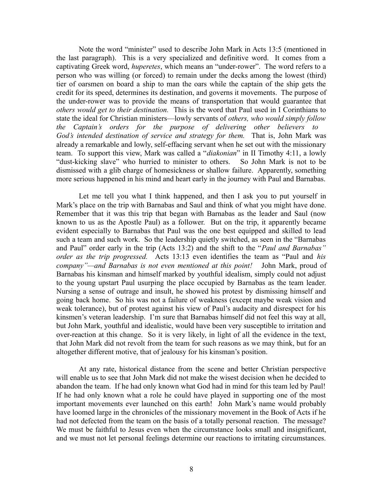Note the word "minister" used to describe John Mark in Acts 13:5 (mentioned in the last paragraph). This is a very specialized and definitive word. It comes from a captivating Greek word, *huperetes*, which means an "under-rower". The word refers to a person who was willing (or forced) to remain under the decks among the lowest (third) tier of oarsmen on board a ship to man the oars while the captain of the ship gets the credit for its speed, determines its destination, and governs it movements. The purpose of the under-rower was to provide the means of transportation that would guarantee that *others would get to their destination.* This is the word that Paul used in I Corinthians to state the ideal for Christian ministers—lowly servants of *others, who would simply follow the Captain's orders for the purpose of delivering other believers to God's intended destination of service and strategy for them.* That is, John Mark was already a remarkable and lowly, self-effacing servant when he set out with the missionary team. To support this view, Mark was called a "*diakonian*" in II Timothy 4:11, a lowly "dust-kicking slave" who hurried to minister to others. So John Mark is not to be dismissed with a glib charge of homesickness or shallow failure. Apparently, something more serious happened in his mind and heart early in the journey with Paul and Barnabas.

Let me tell you what I think happened, and then I ask you to put yourself in Mark's place on the trip with Barnabas and Saul and think of what you might have done. Remember that it was this trip that began with Barnabas as the leader and Saul (now known to us as the Apostle Paul) as a follower. But on the trip, it apparently became evident especially to Barnabas that Paul was the one best equipped and skilled to lead such a team and such work. So the leadership quietly switched, as seen in the "Barnabas and Paul" order early in the trip (Acts 13:2) and the shift to the "*Paul and Barnabas" order as the trip progressed.* Acts 13:13 even identifies the team as "Paul and *his company"—and Barnabas is not even mentioned at this point!* John Mark, proud of Barnabas his kinsman and himself marked by youthful idealism, simply could not adjust to the young upstart Paul usurping the place occupied by Barnabas as the team leader. Nursing a sense of outrage and insult, he showed his protest by dismissing himself and going back home. So his was not a failure of weakness (except maybe weak vision and weak tolerance), but of protest against his view of Paul's audacity and disrespect for his kinsmen's veteran leadership. I'm sure that Barnabas himself did not feel this way at all, but John Mark, youthful and idealistic, would have been very susceptible to irritation and over-reaction at this change. So it is very likely, in light of all the evidence in the text, that John Mark did not revolt from the team for such reasons as we may think, but for an altogether different motive, that of jealousy for his kinsman's position.

At any rate, historical distance from the scene and better Christian perspective will enable us to see that John Mark did not make the wisest decision when he decided to abandon the team. If he had only known what God had in mind for this team led by Paul! If he had only known what a role he could have played in supporting one of the most important movements ever launched on this earth! John Mark's name would probably have loomed large in the chronicles of the missionary movement in the Book of Acts if he had not defected from the team on the basis of a totally personal reaction. The message? We must be faithful to Jesus even when the circumstance looks small and insignificant, and we must not let personal feelings determine our reactions to irritating circumstances.